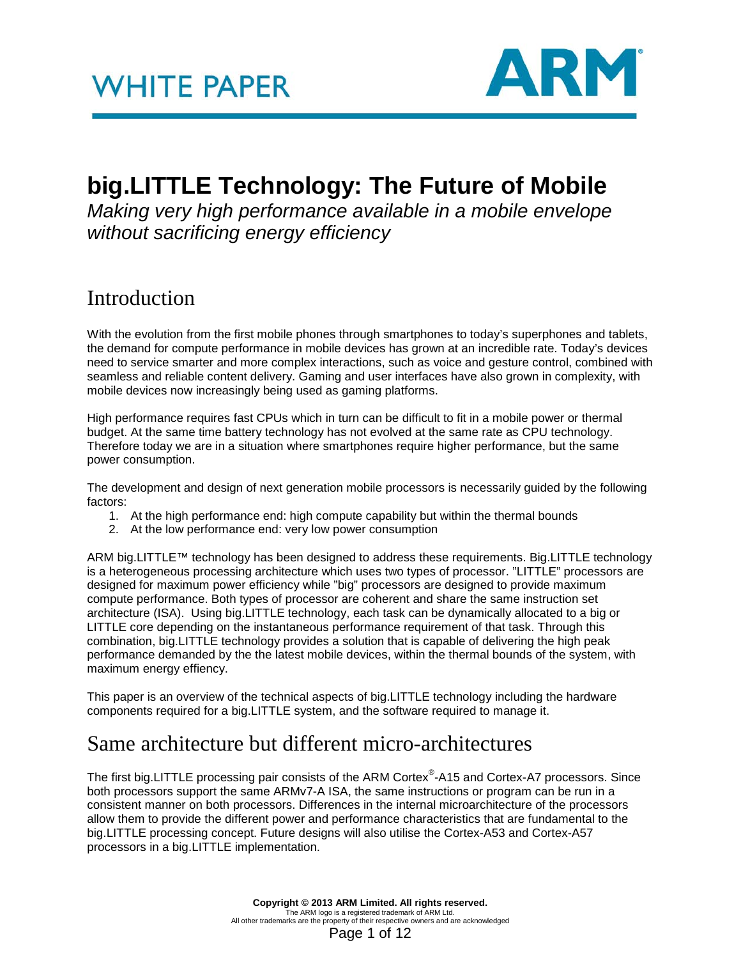

## **big.LITTLE Technology: The Future of Mobile**

*Making very high performance available in a mobile envelope without sacrificing energy efficiency*

### Introduction

With the evolution from the first mobile phones through smartphones to today's superphones and tablets, the demand for compute performance in mobile devices has grown at an incredible rate. Today's devices need to service smarter and more complex interactions, such as voice and gesture control, combined with seamless and reliable content delivery. Gaming and user interfaces have also grown in complexity, with mobile devices now increasingly being used as gaming platforms.

High performance requires fast CPUs which in turn can be difficult to fit in a mobile power or thermal budget. At the same time battery technology has not evolved at the same rate as CPU technology. Therefore today we are in a situation where smartphones require higher performance, but the same power consumption.

The development and design of next generation mobile processors is necessarily guided by the following factors:

- 1. At the high performance end: high compute capability but within the thermal bounds
- 2. At the low performance end: very low power consumption

ARM big.LITTLE™ technology has been designed to address these requirements. Big.LITTLE technology is a heterogeneous processing architecture which uses two types of processor. "LITTLE" processors are designed for maximum power efficiency while "big" processors are designed to provide maximum compute performance. Both types of processor are coherent and share the same instruction set architecture (ISA). Using big.LITTLE technology, each task can be dynamically allocated to a big or LITTLE core depending on the instantaneous performance requirement of that task. Through this combination, big.LITTLE technology provides a solution that is capable of delivering the high peak performance demanded by the the latest mobile devices, within the thermal bounds of the system, with maximum energy effiency.

This paper is an overview of the technical aspects of big.LITTLE technology including the hardware components required for a big.LITTLE system, and the software required to manage it.

### Same architecture but different micro-architectures

The first big.LITTLE processing pair consists of the ARM Cortex®-A15 and Cortex-A7 processors. Since both processors support the same ARMv7-A ISA, the same instructions or program can be run in a consistent manner on both processors. Differences in the internal microarchitecture of the processors allow them to provide the different power and performance characteristics that are fundamental to the big.LITTLE processing concept. Future designs will also utilise the Cortex-A53 and Cortex-A57 processors in a big.LITTLE implementation.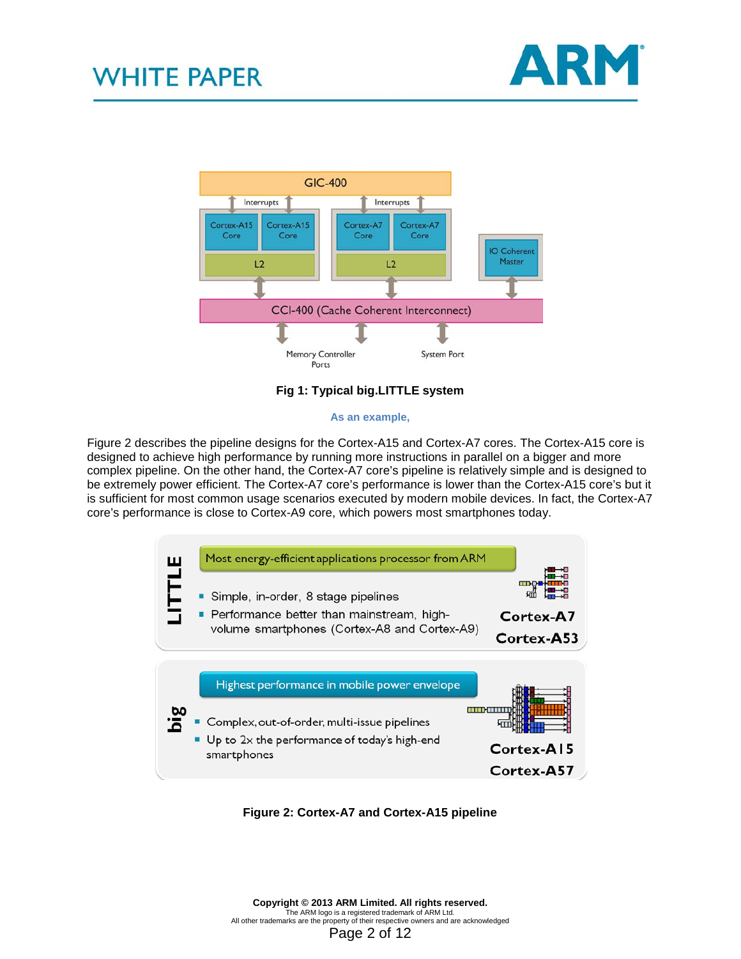



#### **Fig 1: Typical big.LITTLE system**

#### **As an example,**

[Figure 2](#page-1-0) describes the pipeline designs for the Cortex-A15 and Cortex-A7 cores. The Cortex-A15 core is designed to achieve high performance by running more instructions in parallel on a bigger and more complex pipeline. On the other hand, the Cortex-A7 core's pipeline is relatively simple and is designed to be extremely power efficient. The Cortex-A7 core's performance is lower than the Cortex-A15 core's but it is sufficient for most common usage scenarios executed by modern mobile devices. In fact, the Cortex-A7 core's performance is close to Cortex-A9 core, which powers most smartphones today.



<span id="page-1-0"></span>**Figure 2: Cortex-A7 and Cortex-A15 pipeline**

**Copyright © 2013 ARM Limited. All rights reserved.** The ARM logo is a registered trademark of ARM Ltd. All other trademarks are the property of their respective owners and are acknowledged Page 2 of 12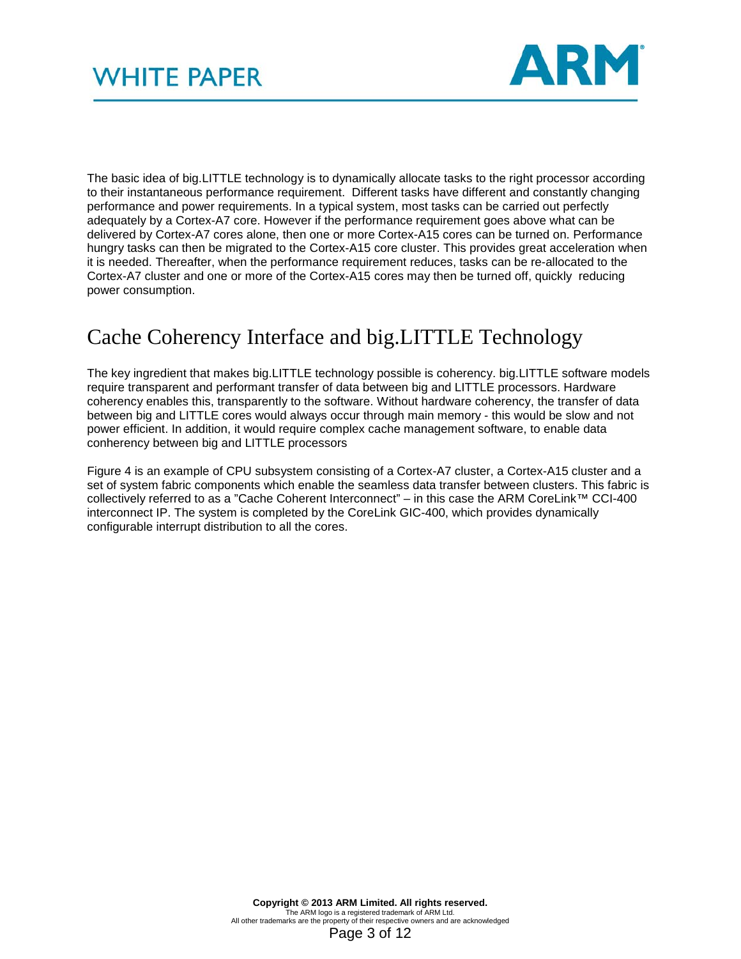

The basic idea of big.LITTLE technology is to dynamically allocate tasks to the right processor according to their instantaneous performance requirement. Different tasks have different and constantly changing performance and power requirements. In a typical system, most tasks can be carried out perfectly adequately by a Cortex-A7 core. However if the performance requirement goes above what can be delivered by Cortex-A7 cores alone, then one or more Cortex-A15 cores can be turned on. Performance hungry tasks can then be migrated to the Cortex-A15 core cluster. This provides great acceleration when it is needed. Thereafter, when the performance requirement reduces, tasks can be re-allocated to the Cortex-A7 cluster and one or more of the Cortex-A15 cores may then be turned off, quickly reducing power consumption.

### Cache Coherency Interface and big.LITTLE Technology

The key ingredient that makes big.LITTLE technology possible is coherency. big.LITTLE software models require transparent and performant transfer of data between big and LITTLE processors. Hardware coherency enables this, transparently to the software. Without hardware coherency, the transfer of data between big and LITTLE cores would always occur through main memory - this would be slow and not power efficient. In addition, it would require complex cache management software, to enable data conherency between big and LITTLE processors

Figure 4 is an example of CPU subsystem consisting of a Cortex-A7 cluster, a Cortex-A15 cluster and a set of system fabric components which enable the seamless data transfer between clusters. This fabric is collectively referred to as a "Cache Coherent Interconnect" – in this case the ARM CoreLink™ CCI-400 interconnect IP. The system is completed by the CoreLink GIC-400, which provides dynamically configurable interrupt distribution to all the cores.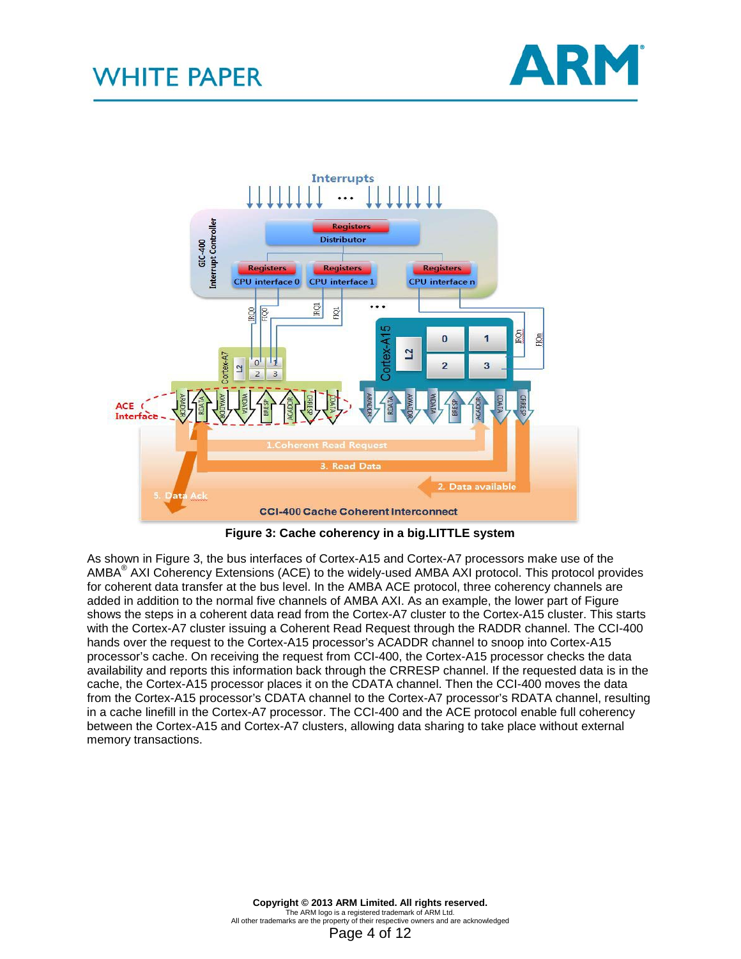



**Figure 3: Cache coherency in a big.LITTLE system**

<span id="page-3-0"></span>As shown in [Figure 3](#page-3-0), the bus interfaces of Cortex-A15 and Cortex-A7 processors make use of the AMBA® AXI Coherency Extensions (ACE) to the widely-used AMBA AXI protocol. This protocol provides for coherent data transfer at the bus level. In the AMBA ACE protocol, three coherency channels are added in addition to the normal five channels of AMBA AXI. As an example, the lower part of [Figure](#page-3-0)  shows the steps in a coherent data read from the Cortex-A7 cluster to the Cortex-A15 cluster. This starts with the Cortex-A7 cluster issuing a Coherent Read Request through the RADDR channel. The CCI-400 hands over the request to the Cortex-A15 processor's ACADDR channel to snoop into Cortex-A15 processor's cache. On receiving the request from CCI-400, the Cortex-A15 processor checks the data availability and reports this information back through the CRRESP channel. If the requested data is in the cache, the Cortex-A15 processor places it on the CDATA channel. Then the CCI-400 moves the data from the Cortex-A15 processor's CDATA channel to the Cortex-A7 processor's RDATA channel, resulting in a cache linefill in the Cortex-A7 processor. The CCI-400 and the ACE protocol enable full coherency between the Cortex-A15 and Cortex-A7 clusters, allowing data sharing to take place without external memory transactions.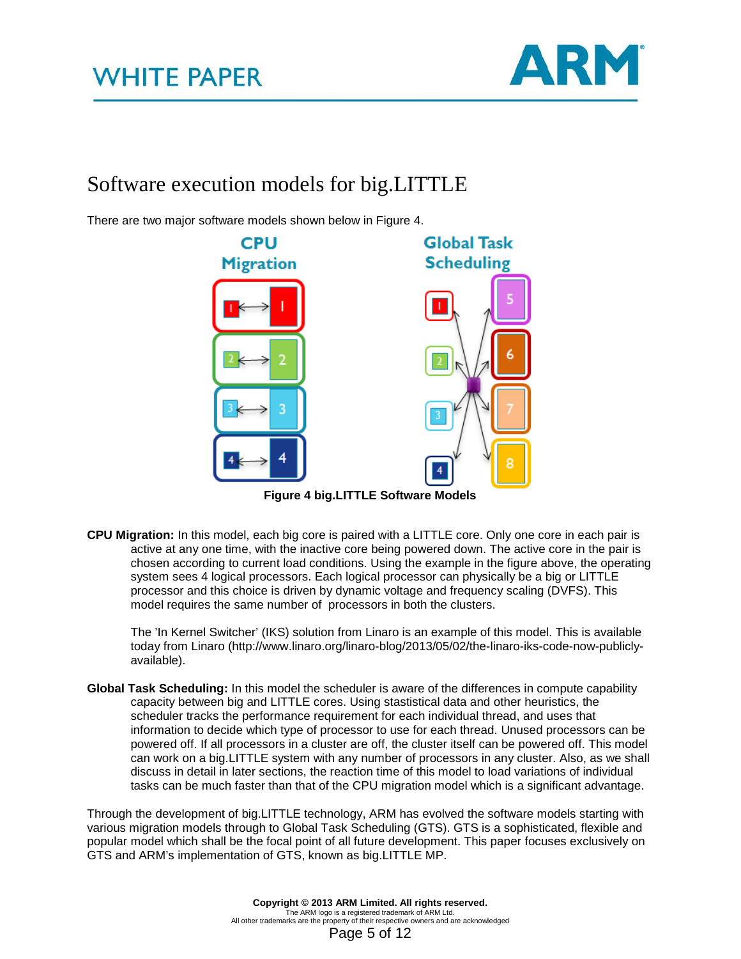

### Software execution models for big.LITTLE

There are two major software models shown below in Figure 4.



**Figure 4 big.LITTLE Software Models**

**CPU Migration:** In this model, each big core is paired with a LITTLE core. Only one core in each pair is active at any one time, with the inactive core being powered down. The active core in the pair is chosen according to current load conditions. Using the example in the figure above, the operating system sees 4 logical processors. Each logical processor can physically be a big or LITTLE processor and this choice is driven by dynamic voltage and frequency scaling (DVFS). This model requires the same number of processors in both the clusters.

The 'In Kernel Switcher' (IKS) solution from Linaro is an example of this model. This is available today from Linaro (http://www.linaro.org/linaro-blog/2013/05/02/the-linaro-iks-code-now-publiclyavailable).

**Global Task Scheduling:** In this model the scheduler is aware of the differences in compute capability capacity between big and LITTLE cores. Using stastistical data and other heuristics, the scheduler tracks the performance requirement for each individual thread, and uses that information to decide which type of processor to use for each thread. Unused processors can be powered off. If all processors in a cluster are off, the cluster itself can be powered off. This model can work on a big.LITTLE system with any number of processors in any cluster. Also, as we shall discuss in detail in later sections, the reaction time of this model to load variations of individual tasks can be much faster than that of the CPU migration model which is a significant advantage.

Through the development of big.LITTLE technology, ARM has evolved the software models starting with various migration models through to Global Task Scheduling (GTS). GTS is a sophisticated, flexible and popular model which shall be the focal point of all future development. This paper focuses exclusively on GTS and ARM's implementation of GTS, known as big.LITTLE MP.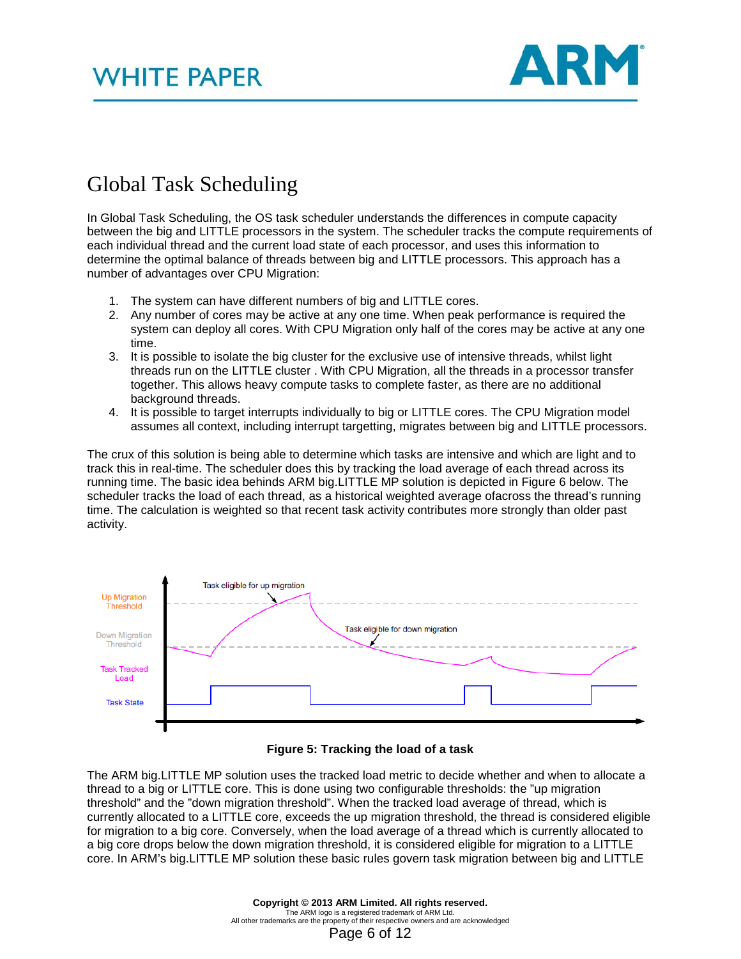

### Global Task Scheduling

In Global Task Scheduling, the OS task scheduler understands the differences in compute capacity between the big and LITTLE processors in the system. The scheduler tracks the compute requirements of each individual thread and the current load state of each processor, and uses this information to determine the optimal balance of threads between big and LITTLE processors. This approach has a number of advantages over CPU Migration:

- 1. The system can have different numbers of big and LITTLE cores.
- 2. Any number of cores may be active at any one time. When peak performance is required the system can deploy all cores. With CPU Migration only half of the cores may be active at any one time.
- 3. It is possible to isolate the big cluster for the exclusive use of intensive threads, whilst light threads run on the LITTLE cluster . With CPU Migration, all the threads in a processor transfer together. This allows heavy compute tasks to complete faster, as there are no additional background threads.
- 4. It is possible to target interrupts individually to big or LITTLE cores. The CPU Migration model assumes all context, including interrupt targetting, migrates between big and LITTLE processors.

The crux of this solution is being able to determine which tasks are intensive and which are light and to track this in real-time. The scheduler does this by tracking the load average of each thread across its running time. The basic idea behinds ARM big.LITTLE MP solution is depicted in [Figure 6](#page-5-0) below. The scheduler tracks the load of each thread, as a historical weighted average ofacross the thread's running time. The calculation is weighted so that recent task activity contributes more strongly than older past activity.



#### **Figure 5: Tracking the load of a task**

<span id="page-5-0"></span>The ARM big.LITTLE MP solution uses the tracked load metric to decide whether and when to allocate a thread to a big or LITTLE core. This is done using two configurable thresholds: the "up migration threshold" and the "down migration threshold". When the tracked load average of thread, which is currently allocated to a LITTLE core, exceeds the up migration threshold, the thread is considered eligible for migration to a big core. Conversely, when the load average of a thread which is currently allocated to a big core drops below the down migration threshold, it is considered eligible for migration to a LITTLE core. In ARM's big.LITTLE MP solution these basic rules govern task migration between big and LITTLE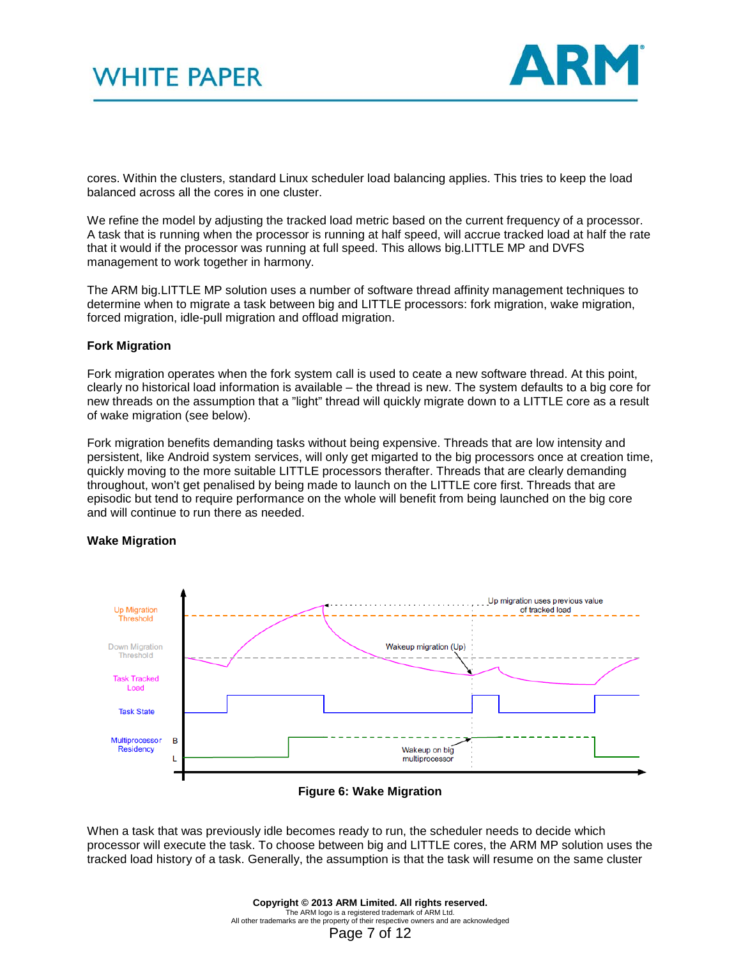

cores. Within the clusters, standard Linux scheduler load balancing applies. This tries to keep the load balanced across all the cores in one cluster.

We refine the model by adjusting the tracked load metric based on the current frequency of a processor. A task that is running when the processor is running at half speed, will accrue tracked load at half the rate that it would if the processor was running at full speed. This allows big.LITTLE MP and DVFS management to work together in harmony.

The ARM big.LITTLE MP solution uses a number of software thread affinity management techniques to determine when to migrate a task between big and LITTLE processors: fork migration, wake migration, forced migration, idle-pull migration and offload migration.

#### **Fork Migration**

Fork migration operates when the fork system call is used to ceate a new software thread. At this point, clearly no historical load information is available – the thread is new. The system defaults to a big core for new threads on the assumption that a "light" thread will quickly migrate down to a LITTLE core as a result of wake migration (see below).

Fork migration benefits demanding tasks without being expensive. Threads that are low intensity and persistent, like Android system services, will only get migarted to the big processors once at creation time, quickly moving to the more suitable LITTLE processors therafter. Threads that are clearly demanding throughout, won't get penalised by being made to launch on the LITTLE core first. Threads that are episodic but tend to require performance on the whole will benefit from being launched on the big core and will continue to run there as needed.



#### **Wake Migration**

**Figure 6: Wake Migration**

<span id="page-6-0"></span>When a task that was previously idle becomes ready to run, the scheduler needs to decide which processor will execute the task. To choose between big and LITTLE cores, the ARM MP solution uses the tracked load history of a task. Generally, the assumption is that the task will resume on the same cluster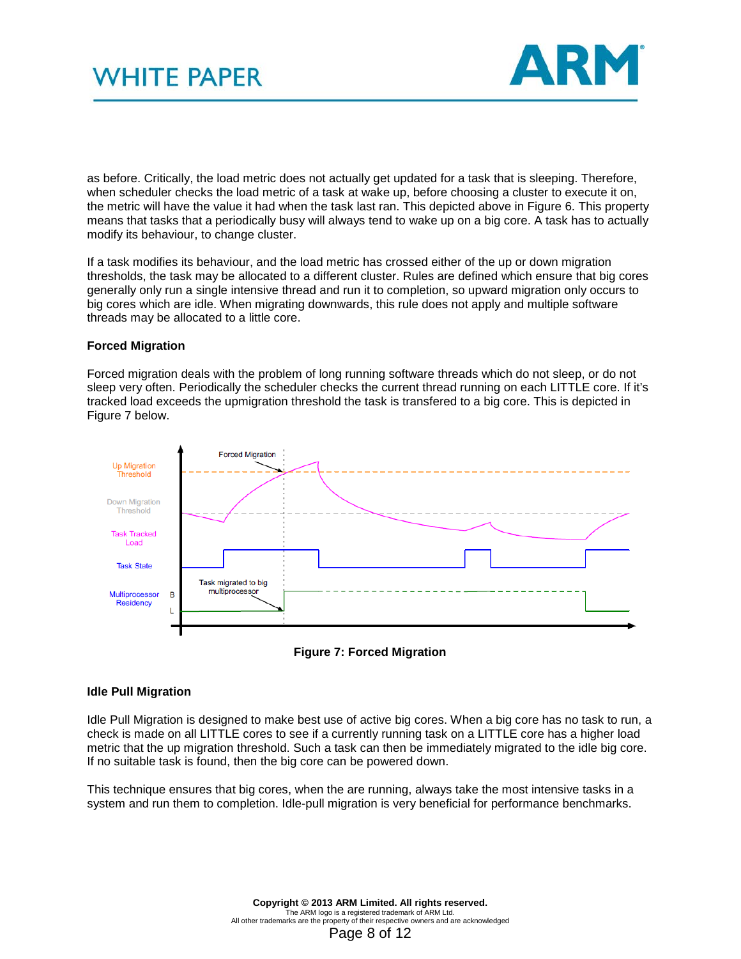

as before. Critically, the load metric does not actually get updated for a task that is sleeping. Therefore, when scheduler checks the load metric of a task at wake up, before choosing a cluster to execute it on, the metric will have the value it had when the task last ran. This depicted above in [Figure 6.](#page-6-0) This property means that tasks that a periodically busy will always tend to wake up on a big core. A task has to actually modify its behaviour, to change cluster.

If a task modifies its behaviour, and the load metric has crossed either of the up or down migration thresholds, the task may be allocated to a different cluster. Rules are defined which ensure that big cores generally only run a single intensive thread and run it to completion, so upward migration only occurs to big cores which are idle. When migrating downwards, this rule does not apply and multiple software threads may be allocated to a little core.

#### **Forced Migration**

Forced migration deals with the problem of long running software threads which do not sleep, or do not sleep very often. Periodically the scheduler checks the current thread running on each LITTLE core. If it's tracked load exceeds the upmigration threshold the task is transfered to a big core. This is depicted in [Figure 7](#page-7-0) below.





#### <span id="page-7-0"></span>**Idle Pull Migration**

Idle Pull Migration is designed to make best use of active big cores. When a big core has no task to run, a check is made on all LITTLE cores to see if a currently running task on a LITTLE core has a higher load metric that the up migration threshold. Such a task can then be immediately migrated to the idle big core. If no suitable task is found, then the big core can be powered down.

This technique ensures that big cores, when the are running, always take the most intensive tasks in a system and run them to completion. Idle-pull migration is very beneficial for performance benchmarks.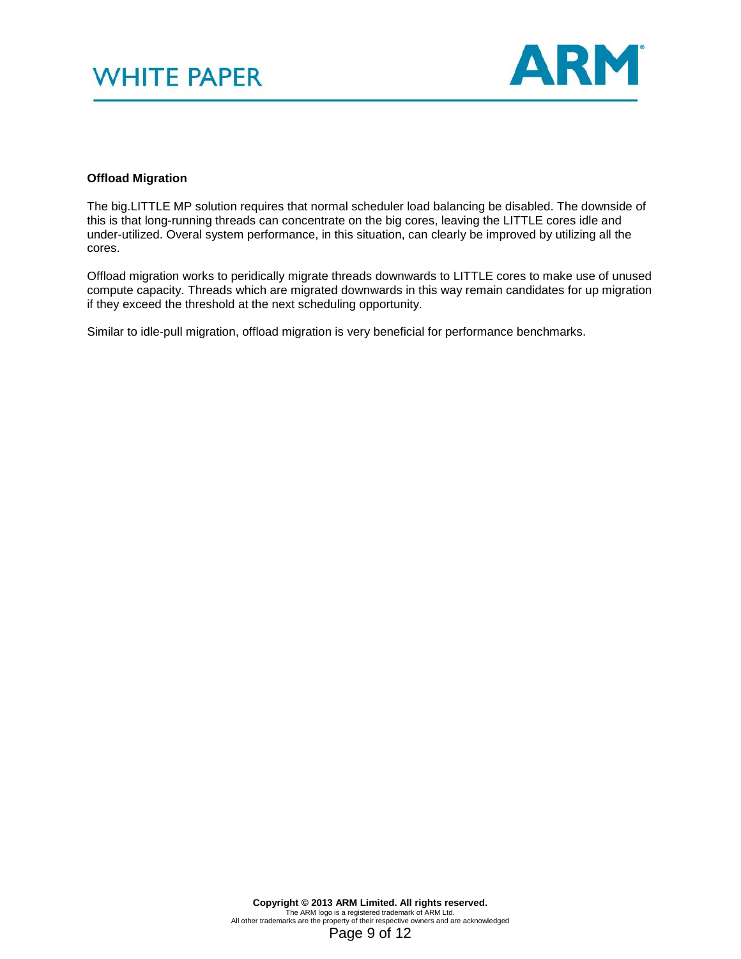

#### **Offload Migration**

The big.LITTLE MP solution requires that normal scheduler load balancing be disabled. The downside of this is that long-running threads can concentrate on the big cores, leaving the LITTLE cores idle and under-utilized. Overal system performance, in this situation, can clearly be improved by utilizing all the cores.

Offload migration works to peridically migrate threads downwards to LITTLE cores to make use of unused compute capacity. Threads which are migrated downwards in this way remain candidates for up migration if they exceed the threshold at the next scheduling opportunity.

Similar to idle-pull migration, offload migration is very beneficial for performance benchmarks.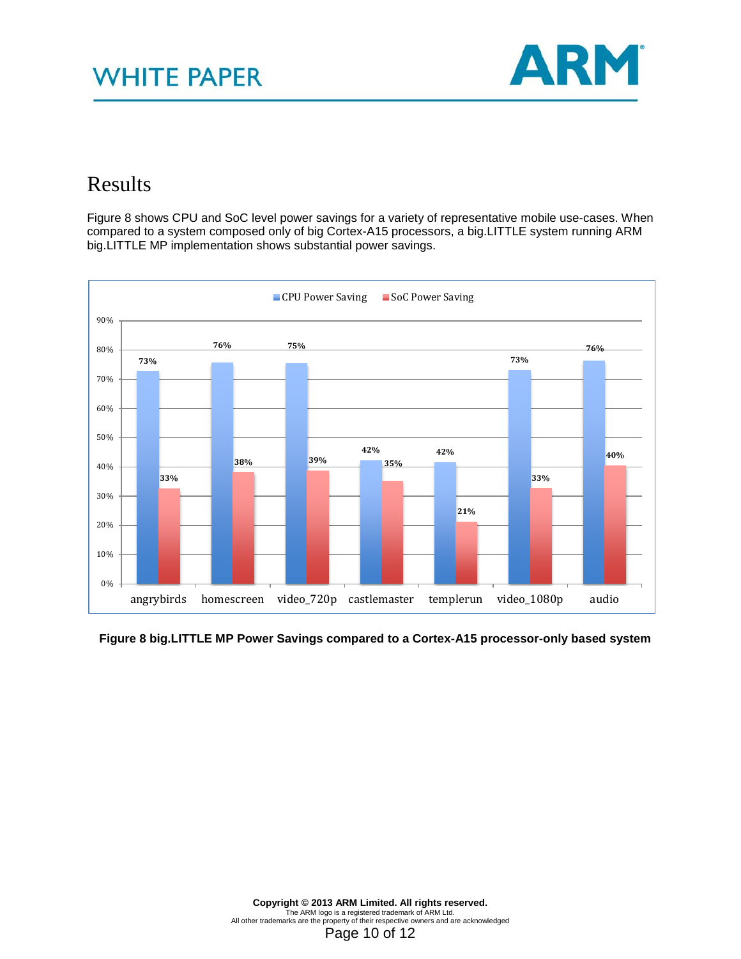

### Results

Figure 8 shows CPU and SoC level power savings for a variety of representative mobile use-cases. When compared to a system composed only of big Cortex-A15 processors, a big.LITTLE system running ARM big.LITTLE MP implementation shows substantial power savings.



#### **Figure 8 big.LITTLE MP Power Savings compared to a Cortex-A15 processor-only based system**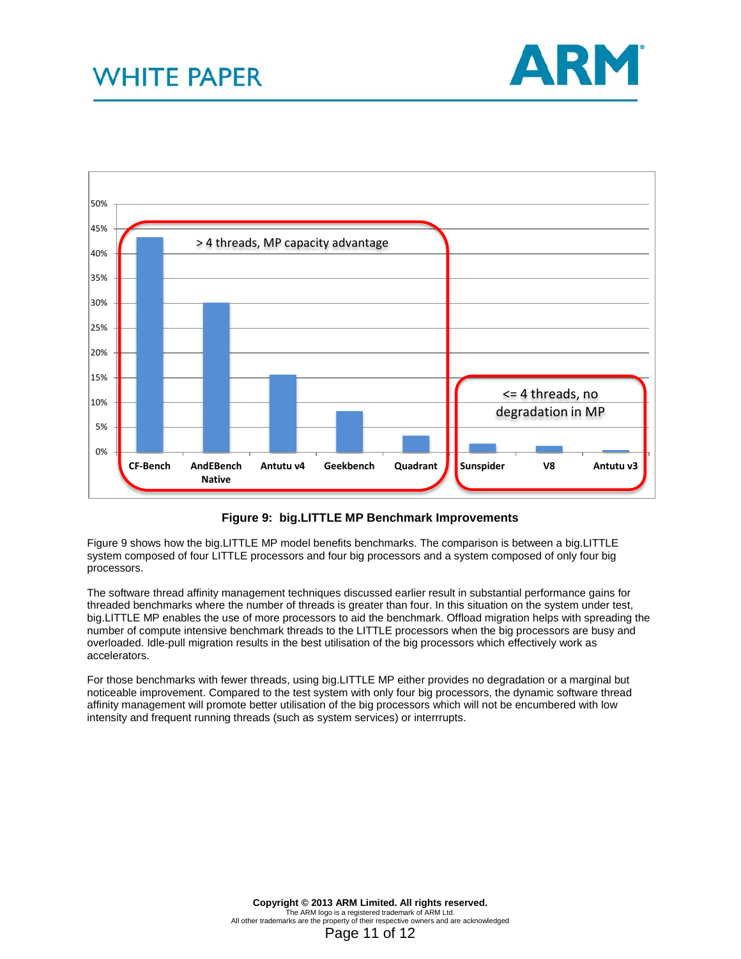



**Figure 9: big.LITTLE MP Benchmark Improvements**

Figure 9 shows how the big.LITTLE MP model benefits benchmarks. The comparison is between a big.LITTLE system composed of four LITTLE processors and four big processors and a system composed of only four big processors.

The software thread affinity management techniques discussed earlier result in substantial performance gains for threaded benchmarks where the number of threads is greater than four. In this situation on the system under test, big.LITTLE MP enables the use of more processors to aid the benchmark. Offload migration helps with spreading the number of compute intensive benchmark threads to the LITTLE processors when the big processors are busy and overloaded. Idle-pull migration results in the best utilisation of the big processors which effectively work as accelerators.

For those benchmarks with fewer threads, using big.LITTLE MP either provides no degradation or a marginal but noticeable improvement. Compared to the test system with only four big processors, the dynamic software thread affinity management will promote better utilisation of the big processors which will not be encumbered with low intensity and frequent running threads (such as system services) or interrrupts.